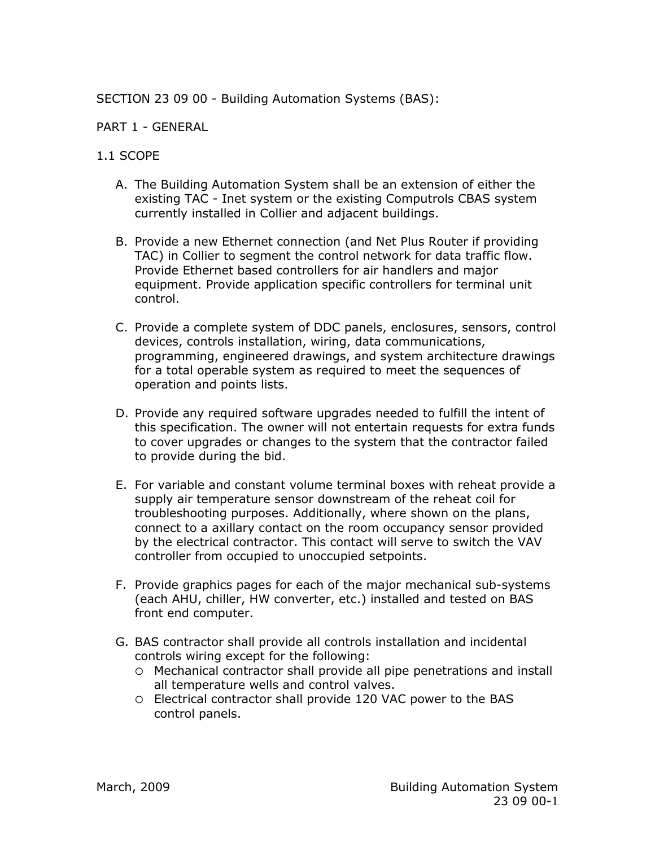# SECTION 23 09 00 - Building Automation Systems (BAS):

## PART 1 - GENERAL

# 1.1 SCOPE

- A. The Building Automation System shall be an extension of either the existing TAC - Inet system or the existing Computrols CBAS system currently installed in Collier and adjacent buildings.
- B. Provide a new Ethernet connection (and Net Plus Router if providing TAC) in Collier to segment the control network for data traffic flow. Provide Ethernet based controllers for air handlers and major equipment. Provide application specific controllers for terminal unit control.
- C. Provide a complete system of DDC panels, enclosures, sensors, control devices, controls installation, wiring, data communications, programming, engineered drawings, and system architecture drawings for a total operable system as required to meet the sequences of operation and points lists.
- D. Provide any required software upgrades needed to fulfill the intent of this specification. The owner will not entertain requests for extra funds to cover upgrades or changes to the system that the contractor failed to provide during the bid.
- E. For variable and constant volume terminal boxes with reheat provide a supply air temperature sensor downstream of the reheat coil for troubleshooting purposes. Additionally, where shown on the plans, connect to a axillary contact on the room occupancy sensor provided by the electrical contractor. This contact will serve to switch the VAV controller from occupied to unoccupied setpoints.
- F. Provide graphics pages for each of the major mechanical sub-systems (each AHU, chiller, HW converter, etc.) installed and tested on BAS front end computer.
- G. BAS contractor shall provide all controls installation and incidental controls wiring except for the following:
	- Mechanical contractor shall provide all pipe penetrations and install all temperature wells and control valves.
	- Electrical contractor shall provide 120 VAC power to the BAS control panels.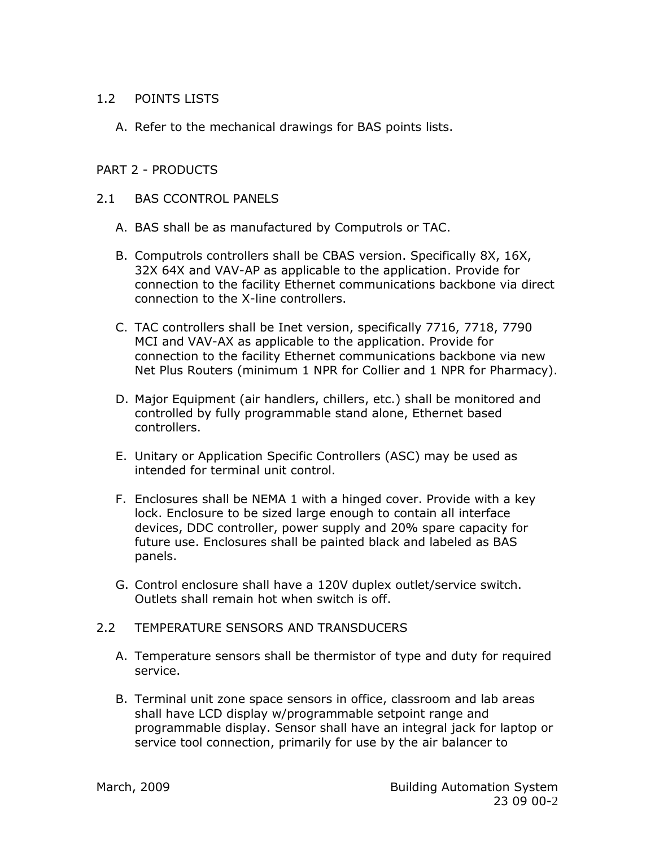### 1.2 POINTS LISTS

A. Refer to the mechanical drawings for BAS points lists.

### PART 2 - PRODUCTS

- 2.1 BAS CCONTROL PANELS
	- A. BAS shall be as manufactured by Computrols or TAC.
	- B. Computrols controllers shall be CBAS version. Specifically 8X, 16X, 32X 64X and VAV-AP as applicable to the application. Provide for connection to the facility Ethernet communications backbone via direct connection to the X-line controllers.
	- C. TAC controllers shall be Inet version, specifically 7716, 7718, 7790 MCI and VAV-AX as applicable to the application. Provide for connection to the facility Ethernet communications backbone via new Net Plus Routers (minimum 1 NPR for Collier and 1 NPR for Pharmacy).
	- D. Major Equipment (air handlers, chillers, etc.) shall be monitored and controlled by fully programmable stand alone, Ethernet based controllers.
	- E. Unitary or Application Specific Controllers (ASC) may be used as intended for terminal unit control.
	- F. Enclosures shall be NEMA 1 with a hinged cover. Provide with a key lock. Enclosure to be sized large enough to contain all interface devices, DDC controller, power supply and 20% spare capacity for future use. Enclosures shall be painted black and labeled as BAS panels.
	- G. Control enclosure shall have a 120V duplex outlet/service switch. Outlets shall remain hot when switch is off.

#### 2.2 TEMPERATURE SENSORS AND TRANSDUCERS

- A. Temperature sensors shall be thermistor of type and duty for required service.
- B. Terminal unit zone space sensors in office, classroom and lab areas shall have LCD display w/programmable setpoint range and programmable display. Sensor shall have an integral jack for laptop or service tool connection, primarily for use by the air balancer to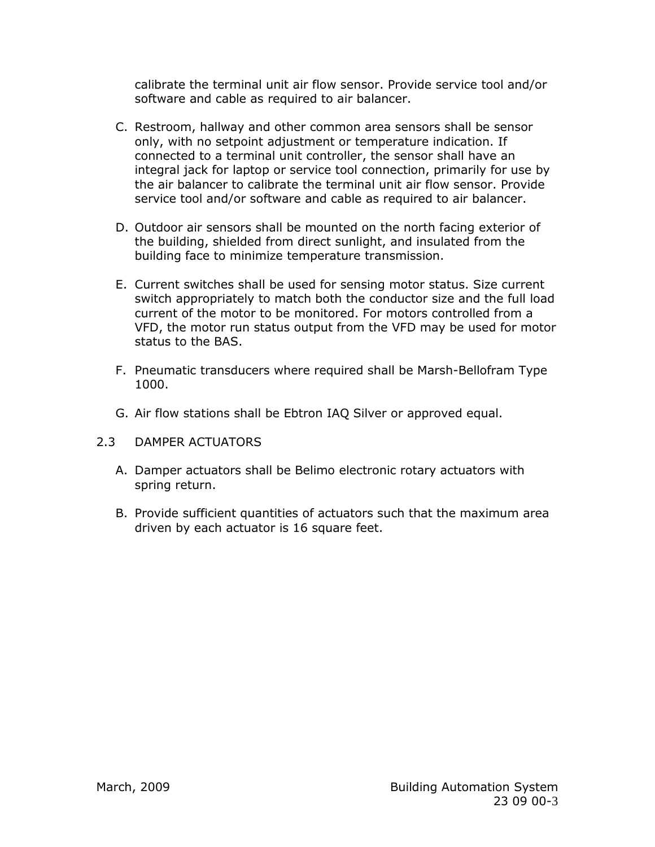calibrate the terminal unit air flow sensor. Provide service tool and/or software and cable as required to air balancer.

- C. Restroom, hallway and other common area sensors shall be sensor only, with no setpoint adjustment or temperature indication. If connected to a terminal unit controller, the sensor shall have an integral jack for laptop or service tool connection, primarily for use by the air balancer to calibrate the terminal unit air flow sensor. Provide service tool and/or software and cable as required to air balancer.
- D. Outdoor air sensors shall be mounted on the north facing exterior of the building, shielded from direct sunlight, and insulated from the building face to minimize temperature transmission.
- E. Current switches shall be used for sensing motor status. Size current switch appropriately to match both the conductor size and the full load current of the motor to be monitored. For motors controlled from a VFD, the motor run status output from the VFD may be used for motor status to the BAS.
- F. Pneumatic transducers where required shall be Marsh-Bellofram Type 1000.
- G. Air flow stations shall be Ebtron IAQ Silver or approved equal.
- 2.3 DAMPER ACTUATORS
	- A. Damper actuators shall be Belimo electronic rotary actuators with spring return.
	- B. Provide sufficient quantities of actuators such that the maximum area driven by each actuator is 16 square feet.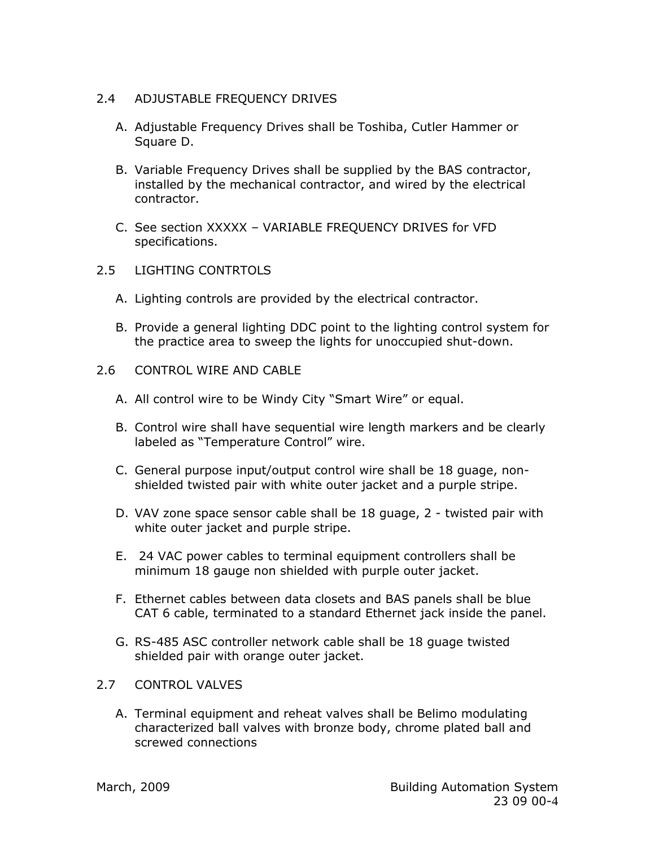# 2.4 ADJUSTABLE FREQUENCY DRIVES

- A. Adjustable Frequency Drives shall be Toshiba, Cutler Hammer or Square D.
- B. Variable Frequency Drives shall be supplied by the BAS contractor, installed by the mechanical contractor, and wired by the electrical contractor.
- C. See section XXXXX VARIABLE FREQUENCY DRIVES for VFD specifications.
- 2.5 LIGHTING CONTRTOLS
	- A. Lighting controls are provided by the electrical contractor.
	- B. Provide a general lighting DDC point to the lighting control system for the practice area to sweep the lights for unoccupied shut-down.
- 2.6 CONTROL WIRE AND CABLE
	- A. All control wire to be Windy City "Smart Wire" or equal.
	- B. Control wire shall have sequential wire length markers and be clearly labeled as "Temperature Control" wire.
	- C. General purpose input/output control wire shall be 18 guage, nonshielded twisted pair with white outer jacket and a purple stripe.
	- D. VAV zone space sensor cable shall be 18 guage, 2 twisted pair with white outer jacket and purple stripe.
	- E. 24 VAC power cables to terminal equipment controllers shall be minimum 18 gauge non shielded with purple outer jacket.
	- F. Ethernet cables between data closets and BAS panels shall be blue CAT 6 cable, terminated to a standard Ethernet jack inside the panel.
	- G. RS-485 ASC controller network cable shall be 18 guage twisted shielded pair with orange outer jacket.
- 2.7 CONTROL VALVES
	- A. Terminal equipment and reheat valves shall be Belimo modulating characterized ball valves with bronze body, chrome plated ball and screwed connections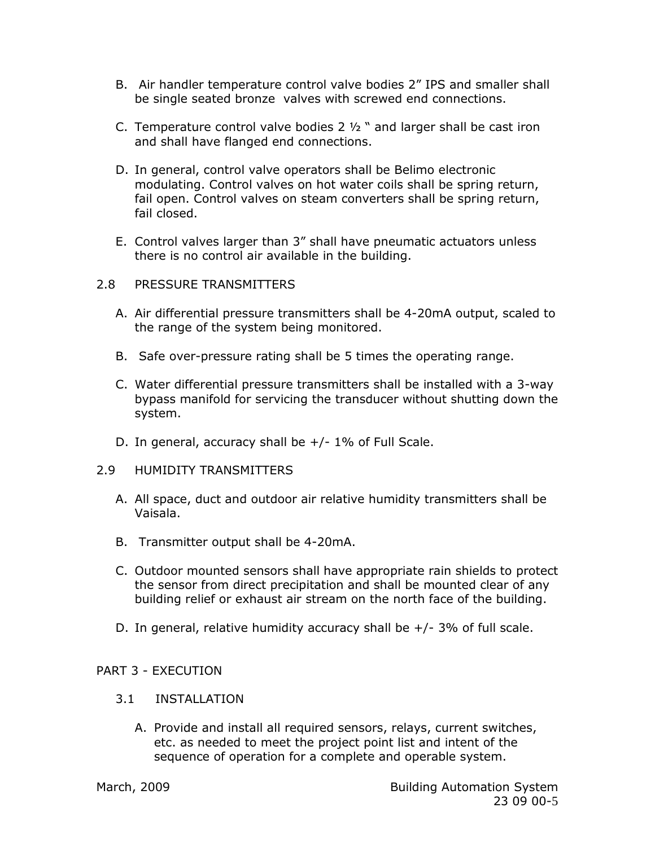- B. Air handler temperature control valve bodies 2" IPS and smaller shall be single seated bronze valves with screwed end connections.
- C. Temperature control valve bodies  $2 \frac{1}{2}$  " and larger shall be cast iron and shall have flanged end connections.
- D. In general, control valve operators shall be Belimo electronic modulating. Control valves on hot water coils shall be spring return, fail open. Control valves on steam converters shall be spring return, fail closed.
- E. Control valves larger than 3" shall have pneumatic actuators unless there is no control air available in the building.
- 2.8 PRESSURE TRANSMITTERS
	- A. Air differential pressure transmitters shall be 4-20mA output, scaled to the range of the system being monitored.
	- B. Safe over-pressure rating shall be 5 times the operating range.
	- C. Water differential pressure transmitters shall be installed with a 3-way bypass manifold for servicing the transducer without shutting down the system.
	- D. In general, accuracy shall be  $+/-1\%$  of Full Scale.
- 2.9 HUMIDITY TRANSMITTERS
	- A. All space, duct and outdoor air relative humidity transmitters shall be Vaisala.
	- B. Transmitter output shall be 4-20mA.
	- C. Outdoor mounted sensors shall have appropriate rain shields to protect the sensor from direct precipitation and shall be mounted clear of any building relief or exhaust air stream on the north face of the building.
	- D. In general, relative humidity accuracy shall be  $+/-$  3% of full scale.

#### PART 3 - EXECUTION

- 3.1 INSTALLATION
	- A. Provide and install all required sensors, relays, current switches, etc. as needed to meet the project point list and intent of the sequence of operation for a complete and operable system.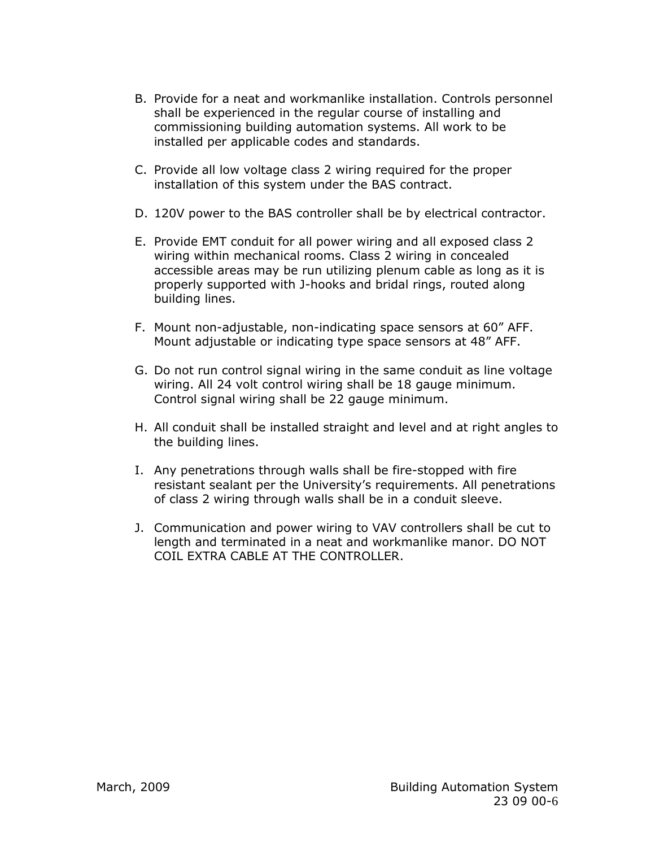- B. Provide for a neat and workmanlike installation. Controls personnel shall be experienced in the regular course of installing and commissioning building automation systems. All work to be installed per applicable codes and standards.
- C. Provide all low voltage class 2 wiring required for the proper installation of this system under the BAS contract.
- D. 120V power to the BAS controller shall be by electrical contractor.
- E. Provide EMT conduit for all power wiring and all exposed class 2 wiring within mechanical rooms. Class 2 wiring in concealed accessible areas may be run utilizing plenum cable as long as it is properly supported with J-hooks and bridal rings, routed along building lines.
- F. Mount non-adjustable, non-indicating space sensors at 60" AFF. Mount adjustable or indicating type space sensors at 48" AFF.
- G. Do not run control signal wiring in the same conduit as line voltage wiring. All 24 volt control wiring shall be 18 gauge minimum. Control signal wiring shall be 22 gauge minimum.
- H. All conduit shall be installed straight and level and at right angles to the building lines.
- I. Any penetrations through walls shall be fire-stopped with fire resistant sealant per the University's requirements. All penetrations of class 2 wiring through walls shall be in a conduit sleeve.
- J. Communication and power wiring to VAV controllers shall be cut to length and terminated in a neat and workmanlike manor. DO NOT COIL EXTRA CABLE AT THE CONTROLLER.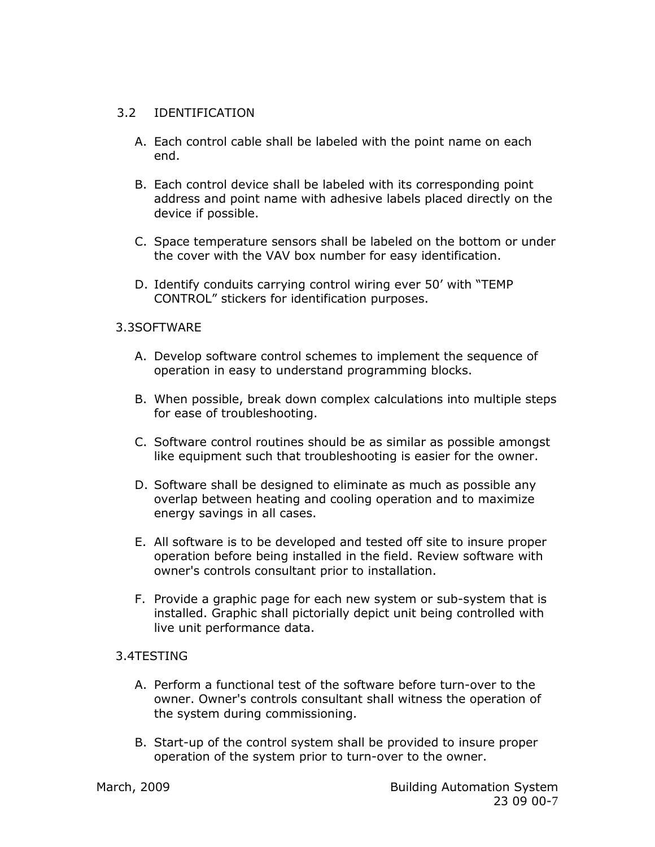#### 3.2 IDENTIFICATION

- A. Each control cable shall be labeled with the point name on each end.
- B. Each control device shall be labeled with its corresponding point address and point name with adhesive labels placed directly on the device if possible.
- C. Space temperature sensors shall be labeled on the bottom or under the cover with the VAV box number for easy identification.
- D. Identify conduits carrying control wiring ever 50' with "TEMP CONTROL" stickers for identification purposes.

#### 3.3SOFTWARE

- A. Develop software control schemes to implement the sequence of operation in easy to understand programming blocks.
- B. When possible, break down complex calculations into multiple steps for ease of troubleshooting.
- C. Software control routines should be as similar as possible amongst like equipment such that troubleshooting is easier for the owner.
- D. Software shall be designed to eliminate as much as possible any overlap between heating and cooling operation and to maximize energy savings in all cases.
- E. All software is to be developed and tested off site to insure proper operation before being installed in the field. Review software with owner's controls consultant prior to installation.
- F. Provide a graphic page for each new system or sub-system that is installed. Graphic shall pictorially depict unit being controlled with live unit performance data.

#### 3.4TESTING

- A. Perform a functional test of the software before turn-over to the owner. Owner's controls consultant shall witness the operation of the system during commissioning.
- B. Start-up of the control system shall be provided to insure proper operation of the system prior to turn-over to the owner.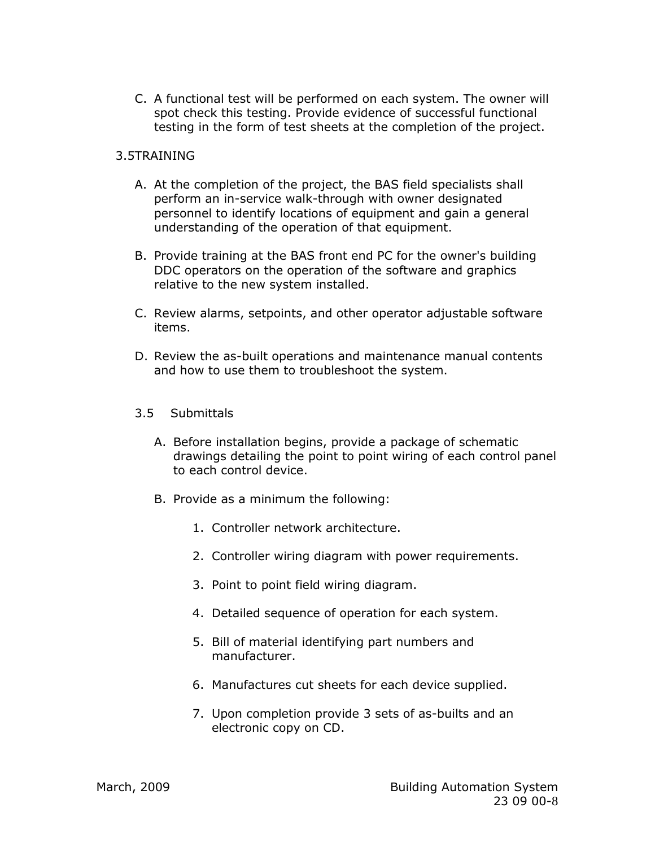C. A functional test will be performed on each system. The owner will spot check this testing. Provide evidence of successful functional testing in the form of test sheets at the completion of the project.

## 3.5TRAINING

- A. At the completion of the project, the BAS field specialists shall perform an in-service walk-through with owner designated personnel to identify locations of equipment and gain a general understanding of the operation of that equipment.
- B. Provide training at the BAS front end PC for the owner's building DDC operators on the operation of the software and graphics relative to the new system installed.
- C. Review alarms, setpoints, and other operator adjustable software items.
- D. Review the as-built operations and maintenance manual contents and how to use them to troubleshoot the system.
- 3.5 Submittals
	- A. Before installation begins, provide a package of schematic drawings detailing the point to point wiring of each control panel to each control device.
	- B. Provide as a minimum the following:
		- 1. Controller network architecture.
		- 2. Controller wiring diagram with power requirements.
		- 3. Point to point field wiring diagram.
		- 4. Detailed sequence of operation for each system.
		- 5. Bill of material identifying part numbers and manufacturer.
		- 6. Manufactures cut sheets for each device supplied.
		- 7. Upon completion provide 3 sets of as-builts and an electronic copy on CD.